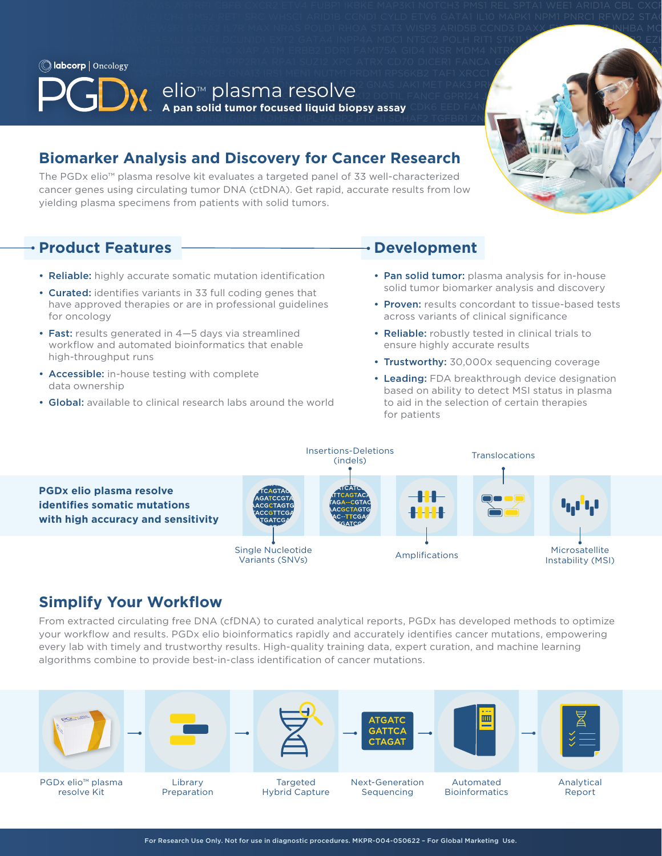RPS6KB2 TAF1 XRCC1 AURKA CD79A DIS3 FANCB GNA13 IRS1 MEN1 NUTM1 PRDM1 RPS6KB2 TAF1 XRCC1 AURKB COD79A DNMT IRS2 MERTK PAKIS PAKIS PAKIS PAKIS PAKIS PAKIS PREZZO DI ANGLO DI ANGLO DI ANGLO DI ANGLO DI ANGLO DI ANGLO DI **ElioTM plasma resolve** Resolve Terris Pak3 PRK **Palabank 1999 ANX1 PRKS PRKDC RYBP TERT PAK3 PRKDC RYBP TERT PAK3 PR A pan solid tumor focused liquid biopsy assay** CDK6 EED FAN<mark>CHAT6 PARK2 INTERS ANCI GRIN</mark> SDHA TET2 ZNF217 BARDI CDK8 EGFL7 DCUNIDI GRM3 KDM5A MPL PARP2 PTCH1 SDHAF2 TGFBR1 ZNF703 ARID 1990 ARID 1990 A

WHISCILI ARION2 CYP17A1 EWSR1 GATA2 IL7R MAX NRAS POLD1 RHOA STAT3 WISP3 ARID5B CCND3 DAXX EXTIN GATA3 INHBA MC NSD1 POLE STAT4 WRN ASXL1 CCNE1 DCUN1D1 EXT2 GATA4 INPP4A MDC1 NT5C2 POLH RIT1 STK11 WTH2 ASSESSMENT ASSESSMENT GATA6 INPP4B MDM2 NTRK1 POT1 RNF43 STK40 XIAP ATM ERBB2 DDR1 FAM175A GID4 INSR MDM4 NTRK2† PPARG ROSS SUFU XPA

 $K_{\rm{max}}$  paraps pten sohiological contract time  $\sim$  11.42 kDM6A msh2  $\sim$  11.42 kDM6 FAT1 H3F3  $\mathcal{L}$  and the set of the set of the set of the set of the set of the set of the set of the set of the set of the set of the set of the set of the set of the set of the set of the set of the set of the set of

### Diamarkar Analysis and Dissources for Cansor Bessareh Home Public Corp. **Biomarker Analysis and Discovery for Cancer Research Research Research Research**

The PGDx elio™ plasma resolve kit evaluates a targeted panel of 33 well-characterized cancer genes using circulating tumor DNA (ctDNA). Get rapid, accurate results from low yielding plasma specimens from patients with solid tumors. RAD51 TP53 ACCREDIT SMAD4 TP53 ACCREDIT PICS MYOD1 PIK3C3 RAD51C SMAD4 TP53BP1 ACVR1B BRCA2 CSF1 ERCC1 ERCCHIST BRCA2 CSF1 ERCCHIST BRCA2 CSF1 ERCCHIST BRCA2 CSF1 ERCCHIST BRCA2 CSF1 ERCCHIST BRCA2 CSF1 ERCCHIST BRCA2 CSF1

### **EXECUTER FRAMIPLE RADISFIED RADISFIED TO A SUBSTANDING RANGER CONSTRUCT PRODUCT FEATURES** NFE2L2 PIK3R2 RANBP2 SOX10 TYRO3 ALOX12B BUB1B CTLA4 ERCC8 FLT4 IFNGR1 MAGI2 NFKBIA PIK3R3 RARA SOX17 U2AF1 AMER1

- Reliable: highly accurate somatic mutation identification Pan solid tumor: plasma analysis for in-house
- Curated: identifies variants in 33 full coding genes that solid tumor biomarker analysis and discovery **Example in Fightiary condition in the range of the security groups** and the therm in professional guidelines **example in Proven:** results concordant to tissue-based tests Here approved and approved the approved the maximized on the maximized maximized the conditions of clinical significance and the maximized maximized the maximized maximized the maximized maximized the maximized maximized m NST POLE RICHTOR STATE RICHTER STATE RICHTER STATE RICHTER STATE RICHTER STATE RICHTER STATE RICHTER STATE RICHTER STATE RICHTER STATE RICHTER STATE RICHTER STATE RICHTER STATE RICHTER STATE RICHTER STATE RICHTER STATE RIC for oncology
- Fast: results generated in 4–5 days via streamlined Reliable: robustly tested in clinical trials to workflow and automated bioinformatics that enable **that a constant the enable we**nsure highly accurate results high-throughput runs and the state of the state of the state of the state of the state of the state of the state of the state of the state of the state of the state of the state of the state of the state of the state of th high-throughput runs
- Accessible: in-house testing with complete<br>• Accessible: in-house testing with complete<br>• Leading: EDA broaktbrough dovice designation data ownership
- Global: available to clinical research labs around the world to aid in the selection of certain therapies

### **Development**

- Pan solid tumor: plasma analysis for in-house solid tumor biomarker analysis and discovery
- Proven: results concordant to tissue-based tests
- Reliable: robustly tested in clinical trials to ensure highly accurate results
- 
- **EXECESSIDE:** International results with complete **and the complete term of the Leading:** FDA breakthrough device designation data ownership was also based on ability to detect MSI status in plasma  $\mathcal{L}$  Paramateur solution to the number of  $\mathcal{L}$  and  $\mathcal{L}$  parameters  $\mathcal{L}$  and  $\mathcal{L}$  are  $\mathcal{L}$  and  $\mathcal{L}$  and  $\mathcal{L}$  are  $\mathcal{L}$  and  $\mathcal{L}$  are  $\mathcal{L}$  and  $\mathcal{L}$  are  $\mathcal{L}$  and  $\mathcal{L}$  are to aid in the selection of certain therapies for patients



## **Simplify Your Workflow**

From extracted circulating free DNA (cfDNA) to curated analytical reports, PGDx has developed methods to optimize your workflow and results. PGDx elio bioinformatics rapidly and accurately identifies cancer mutations, empowering every lab with timely and trustworthy results. High-quality training data, expert curation, and machine learning algorithms combine to provide best-in-class identification of cancer mutations.